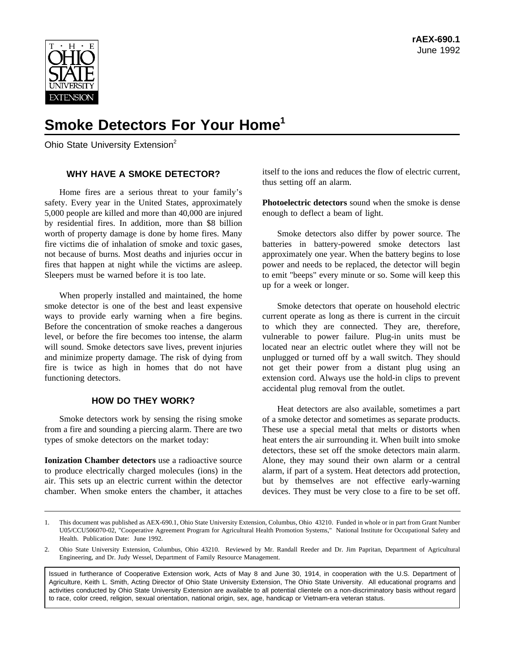

# **Smoke Detectors For Your Home1**

Ohio State University Extension<sup>2</sup>

## **WHY HAVE A SMOKE DETECTOR?**

Home fires are a serious threat to your family's safety. Every year in the United States, approximately 5,000 people are killed and more than 40,000 are injured by residential fires. In addition, more than \$8 billion worth of property damage is done by home fires. Many fire victims die of inhalation of smoke and toxic gases, not because of burns. Most deaths and injuries occur in fires that happen at night while the victims are asleep. Sleepers must be warned before it is too late.

When properly installed and maintained, the home smoke detector is one of the best and least expensive ways to provide early warning when a fire begins. Before the concentration of smoke reaches a dangerous level, or before the fire becomes too intense, the alarm will sound. Smoke detectors save lives, prevent injuries and minimize property damage. The risk of dying from fire is twice as high in homes that do not have functioning detectors.

### **HOW DO THEY WORK?**

Smoke detectors work by sensing the rising smoke from a fire and sounding a piercing alarm. There are two types of smoke detectors on the market today:

**Ionization Chamber detectors** use a radioactive source to produce electrically charged molecules (ions) in the air. This sets up an electric current within the detector chamber. When smoke enters the chamber, it attaches itself to the ions and reduces the flow of electric current, thus setting off an alarm.

**Photoelectric detectors** sound when the smoke is dense enough to deflect a beam of light.

Smoke detectors also differ by power source. The batteries in battery-powered smoke detectors last approximately one year. When the battery begins to lose power and needs to be replaced, the detector will begin to emit "beeps" every minute or so. Some will keep this up for a week or longer.

Smoke detectors that operate on household electric current operate as long as there is current in the circuit to which they are connected. They are, therefore, vulnerable to power failure. Plug-in units must be located near an electric outlet where they will not be unplugged or turned off by a wall switch. They should not get their power from a distant plug using an extension cord. Always use the hold-in clips to prevent accidental plug removal from the outlet.

Heat detectors are also available, sometimes a part of a smoke detector and sometimes as separate products. These use a special metal that melts or distorts when heat enters the air surrounding it. When built into smoke detectors, these set off the smoke detectors main alarm. Alone, they may sound their own alarm or a central alarm, if part of a system. Heat detectors add protection, but by themselves are not effective early-warning devices. They must be very close to a fire to be set off.

Issued in furtherance of Cooperative Extension work, Acts of May 8 and June 30, 1914, in cooperation with the U.S. Department of Agriculture, Keith L. Smith, Acting Director of Ohio State University Extension, The Ohio State University. All educational programs and activities conducted by Ohio State University Extension are available to all potential clientele on a non-discriminatory basis without regard to race, color creed, religion, sexual orientation, national origin, sex, age, handicap or Vietnam-era veteran status.

<sup>1.</sup> This document was published as AEX-690.1, Ohio State University Extension, Columbus, Ohio 43210. Funded in whole or in part from Grant Number U05/CCU506070-02, "Cooperative Agreement Program for Agricultural Health Promotion Systems," National Institute for Occupational Safety and Health. Publication Date: June 1992.

<sup>2.</sup> Ohio State University Extension, Columbus, Ohio 43210. Reviewed by Mr. Randall Reeder and Dr. Jim Papritan, Department of Agricultural Engineering, and Dr. Judy Wessel, Department of Family Resource Management.